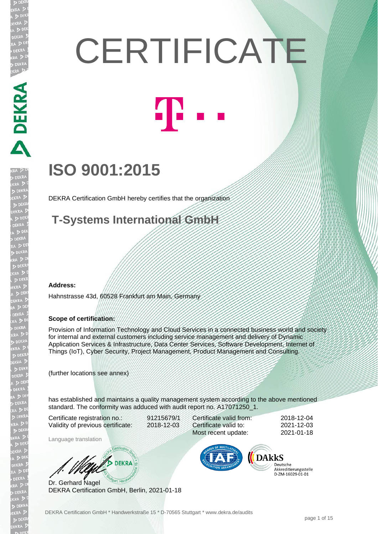# **CERTIFICATE**



## **ISO 9001:2015**

DEKRA Certification GmbH hereby certifies that the organization

**T-Systems International GmbH** 

#### **Address:**

DEKRA DEKRA

**JEKRA** 

EKRA

Hahnstrasse 43d, 60528 Frankfurt am Main, Germany

#### **Scope of certification:**

Provision of Information Technology and Cloud Services in a connected business world and society for internal and external customers including service management and delivery of Dynamic Application Services & Infrastructure, Data Center Services, Software Development, Internet of Things (IoT), Cyber Security, Project Management, Product Management and Consulting.

(further locations see annex)

has established and maintains a quality management system according to the above mentioned standard. The conformity was adduced with audit report no. A17071250\_1.

Certificate registration no.: 91215679/1 Validity of previous certificate: 2018-12-03

Language translation

Certificate valid from: 2018-12-04 Certificate valid to: 2021-12-03 Most recent update: 2021-01-18

DARKS

Deutsche Akkreditierungsstelle D-ZM-16029-01-01

Dr. Gerhard Nagel DEKRA Certification GmbH, Berlin, 2021-01-18

**B** DEKRA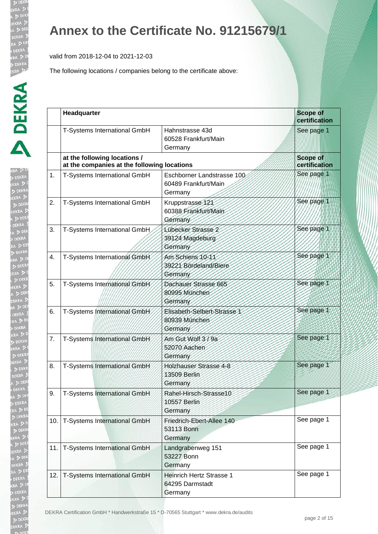valid from 2018-12-04 to 2021-12-03

| I.                |
|-------------------|
| RA.               |
|                   |
|                   |
|                   |
|                   |
|                   |
|                   |
|                   |
|                   |
|                   |
|                   |
|                   |
|                   |
|                   |
|                   |
|                   |
|                   |
|                   |
|                   |
|                   |
|                   |
|                   |
|                   |
|                   |
|                   |
|                   |
|                   |
|                   |
|                   |
|                   |
|                   |
|                   |
|                   |
|                   |
|                   |
|                   |
|                   |
|                   |
|                   |
|                   |
|                   |
| l.<br>l<br>J<br>d |
|                   |
| j                 |
|                   |
|                   |
|                   |
|                   |
|                   |
| Þ                 |
| 7                 |
| t                 |
|                   |
|                   |
|                   |
|                   |
|                   |

|     | Headquarter                                                                 |                                                               | <b>Scope of</b><br>certification |
|-----|-----------------------------------------------------------------------------|---------------------------------------------------------------|----------------------------------|
|     | T-Systems International GmbH                                                | Hahnstrasse 43d<br>60528 Frankfurt/Main<br>Germany            | See page 1                       |
|     | at the following locations /<br>at the companies at the following locations |                                                               | <b>Scope of</b><br>certification |
| 1.  | T-Systems International GmbH                                                | Eschborner Landstrasse 100<br>60489 Frankfurt/Main<br>Germany | See page 1                       |
| 2.  | T-Systems International GmbH                                                | Kruppstrasse 121<br>60388 Frankfurt/Main<br>Germany           | See page 1                       |
| 3.  | T-Systems International GmbH                                                | Lübecker Strasse 2<br>39124 Magdeburg<br>Germany              | See page 1                       |
| 4.  | T-Systems International GmbH                                                | Am Schiens 10-11<br>39221 Bördeland/Biere<br>Germany          | See page 1                       |
| 5.  | T-Systems International GmbH                                                | Dachauer Strasse 665<br>80995 München<br>Germany              | See page 1                       |
| 6.  | T-Systems International GmbH                                                | Elisabeth-Selbert-Strasse 1<br>80939 München<br>Germany       | See page 1                       |
| 7.  | T-Systems International GmbH                                                | Am Gut Wolf 3/9a<br>52070 Aachen<br>Germany                   | See page 1                       |
| 8.  | T-Systems International GmbH                                                | Holzhauser Strasse 4-8<br>13509 Berlin<br>Germany             | See page 1                       |
| 9.  | T-Systems International GmbH                                                | Rahel-Hirsch-Strasse10<br>10557 Berlin<br>Germany             | See page 1                       |
| 10. | T-Systems International GmbH                                                | Friedrich-Ebert-Allee 140<br>53113 Bonn<br>Germany            | See page 1                       |
|     | 11. T-Systems International GmbH                                            | Landgrabenweg 151<br>53227 Bonn<br>Germany                    | See page 1                       |
| 12. | T-Systems International GmbH                                                | <b>Heinrich Hertz Strasse 1</b><br>64295 Darmstadt<br>Germany | See page 1                       |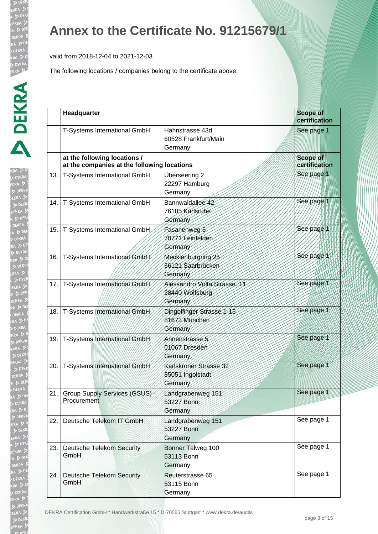valid from 2018-12-04 to 2021-12-03

The following locations / companies belong to the certificate above:

| $R_A$<br>$\frac{1}{2}$                              |
|-----------------------------------------------------|
| r                                                   |
| EKR<br>A D<br>Ï<br>¢                                |
| $\frac{1}{\sqrt{2}}$                                |
|                                                     |
| $\geq$                                              |
|                                                     |
| EKF<br>2                                            |
| $\frac{1}{2}$<br>b                                  |
|                                                     |
|                                                     |
|                                                     |
|                                                     |
|                                                     |
|                                                     |
| EKRA<br>DEKRA<br>DEKRA<br>DEKR<br>A DEKR<br>CA DEKR |
|                                                     |
| $\frac{1}{2}$<br>D                                  |
| $\frac{1}{2}$<br>$\frac{1}{2}$                      |
| RA<br>D                                             |
|                                                     |
| EKR<br>\<br>x                                       |
|                                                     |
|                                                     |
|                                                     |
| DEKRA<br>RA D<br>DEKR<br>KRA D                      |
|                                                     |
| $\frac{1}{2}$                                       |
|                                                     |
| P                                                   |
|                                                     |
| i                                                   |
|                                                     |
|                                                     |
|                                                     |
|                                                     |
|                                                     |
| ā                                                   |
|                                                     |
| A.                                                  |
|                                                     |
|                                                     |
|                                                     |
|                                                     |
|                                                     |
|                                                     |
|                                                     |
|                                                     |
|                                                     |
|                                                     |
|                                                     |
|                                                     |
|                                                     |
|                                                     |
|                                                     |
|                                                     |
|                                                     |

|     | Headquarter                                                                 |                                                            | <b>Scope of</b><br>certification |
|-----|-----------------------------------------------------------------------------|------------------------------------------------------------|----------------------------------|
|     | <b>T-Systems International GmbH</b>                                         | Hahnstrasse 43d<br>60528 Frankfurt/Main<br>Germany         | See page 1                       |
|     | at the following locations /<br>at the companies at the following locations |                                                            | <b>Scope of</b><br>certification |
| 13. | T-Systems International GmbH                                                | Überseering 2<br>22297 Hamburg<br>Germany                  | See page                         |
| 14. | T-Systems International GmbH                                                | Bannwaldallee 42<br>76185 Karlsruhe<br>Germany             | See page 1                       |
| 15. | T-Systems International GmbH                                                | Fasanenweg 5<br>10771 Leinfelden<br>Germany                | See page 1                       |
| 16. | T-Systems International GmbH                                                | Mecklenburgring 25<br>66121 Saarbrücken<br>Germany         | See page 1                       |
| 17. | T-Systems International GmbH                                                | Alessandro Volta Strasse. 11<br>38440 Wolfsburg<br>Germany | See page 1                       |
| 18. | T-Systems International GmbH                                                | Dingolfinger Strasse 1-15<br>81673 München<br>Germany      | See page 1                       |
| 19. | T-Systems International GmbH                                                | Annenstrasse 5<br>01067 Dresden<br>Germany                 | See page 1                       |
| 20. | T-Systems International GmbH                                                | Karlskroner Strasse 32<br>85051 Ingolstadt<br>Germany      | See page 1                       |
| 21. | Group Supply Services (GSUS) -<br>Procurement                               | Landgrabenweg 151<br>53227 Bonn<br>Germany                 | See page 1                       |
| 22. | Deutsche Telekom IT GmbH                                                    | Landgrabenweg 151<br>53227 Bonn<br>Germany                 | See page 1                       |
| 23. | <b>Deutsche Telekom Security</b><br>GmbH                                    | Bonner Talweg 100<br>53113 Bonn<br>Germany                 | See page 1                       |
| 24. | <b>Deutsche Telekom Security</b><br>GmbH                                    | Reuterstrasse 65<br>53115 Bonn<br>Germany                  | See page 1                       |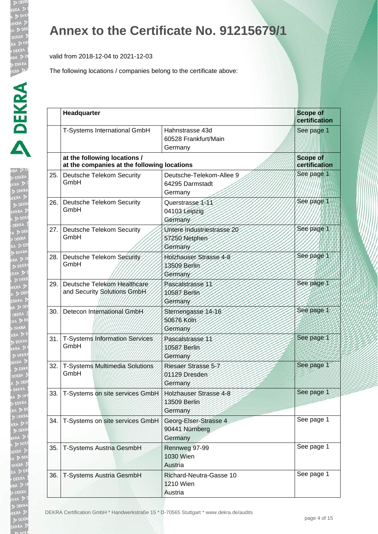valid from 2018-12-04 to 2021-12-03

| KRA D<br>DEK<br>I.                          |
|---------------------------------------------|
| P<br>P<br>P<br>P                            |
| Ì                                           |
|                                             |
|                                             |
|                                             |
|                                             |
| i                                           |
| j                                           |
| D                                           |
| J                                           |
| DEN<br>CA                                   |
| į                                           |
|                                             |
|                                             |
|                                             |
| KR<br>P<br>EKP<br>A<br>$\ddot{\phantom{a}}$ |
| ĺ                                           |
| $\begin{array}{c} \hline \end{array}$       |
|                                             |
|                                             |
|                                             |
| I                                           |
|                                             |
|                                             |
|                                             |
|                                             |
| $\frac{1}{2}$                               |
| ŀ                                           |
|                                             |
|                                             |
|                                             |
|                                             |
|                                             |
|                                             |
|                                             |
| I                                           |
|                                             |
|                                             |
|                                             |
|                                             |
|                                             |
|                                             |
|                                             |
|                                             |
|                                             |
|                                             |
|                                             |
|                                             |
|                                             |
|                                             |

|     | Headquarter                                                                 |                                                        | <b>Scope of</b><br>certification |
|-----|-----------------------------------------------------------------------------|--------------------------------------------------------|----------------------------------|
|     | T-Systems International GmbH                                                | Hahnstrasse 43d<br>60528 Frankfurt/Main<br>Germany     | See page 1                       |
|     | at the following locations /<br>at the companies at the following locations |                                                        | <b>Scope of</b><br>certification |
| 25. | <b>Deutsche Telekom Security</b><br>GmbH                                    | Deutsche-Telekom-Allee 9<br>64295 Darmstadt<br>Germany | See page 1                       |
|     | 26. Deutsche Telekom Security<br>GmbH                                       | Querstrasse 1-11<br>04103 Leipzig<br>Germany           | See page 1                       |
|     | 27. Deutsche Telekom Security<br>GmbH                                       | Untere Industriestrasse 20<br>57250 Netphen<br>Germany | See page 1                       |
| 28. | Deutsche Telekom Security<br>GmbH                                           | Holzhauser Strasse 4-8<br>13509 Berlin<br>Germany      | See page 1                       |
| 29. | Deutsche Telekom Healthcare<br>and Security Solutions GmbH                  | Pascalstrasse 11<br>10587 Berlin<br>Germany            | See page 1                       |
| 30. | Detecon International GmbH                                                  | Sternengasse 14-16<br>50676 Köln<br>Germany            | See page 1                       |
| 31. | T-Systems Information Services<br>GmbH                                      | Pascalstrasse 11<br>10587 Berlin<br>Germany            | See page 1                       |
| 32. | T-Systems Multimedia Solutions<br>GmbH                                      | Riesaer Strasse 5-7<br>01129 Dresden<br>Germany        | See page 1                       |
|     | 33.   T-Systems on site services GmbH                                       | Holzhauser Strasse 4-8<br>13509 Berlin<br>Germany      | See page 1                       |
| 34. | T-Systems on site services GmbH                                             | Georg-Elser-Strasse 4<br>90441 Nürnberg<br>Germany     | See page 1                       |
| 35. | T-Systems Austria GesmbH                                                    | Rennweg 97-99<br>1030 Wien<br>Austria                  | See page 1                       |
| 36. | T-Systems Austria GesmbH                                                    | Richard-Neutra-Gasse 10<br><b>1210 Wien</b><br>Austria | See page 1                       |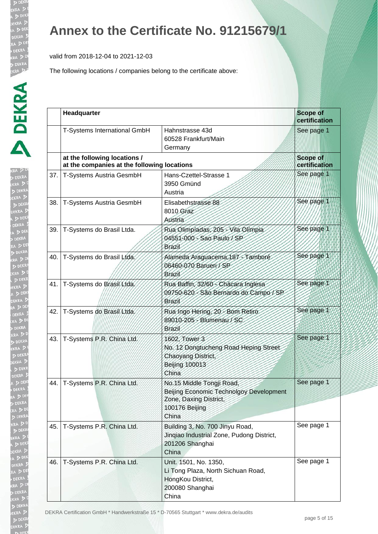valid from 2018-12-04 to 2021-12-03

| ŀ<br>(RA      |
|---------------|
|               |
|               |
|               |
|               |
|               |
|               |
|               |
| $\frac{1}{2}$ |
|               |
|               |
|               |
|               |
|               |
|               |
|               |
|               |
|               |
|               |
|               |
|               |
|               |
| į             |
|               |
|               |
|               |
|               |
| EKR<br>V      |
|               |
|               |
|               |
|               |
|               |
|               |
|               |
|               |
|               |
|               |
|               |
|               |
|               |
|               |
|               |
| j<br>l        |
|               |
|               |
|               |
|               |
| ļ             |
|               |
|               |
|               |
|               |
|               |
|               |
| ĵ             |
|               |
|               |

|     | Headquarter                                                                 |                                                                                                                           | <b>Scope of</b><br>certification |
|-----|-----------------------------------------------------------------------------|---------------------------------------------------------------------------------------------------------------------------|----------------------------------|
|     | T-Systems International GmbH                                                | Hahnstrasse 43d<br>60528 Frankfurt/Main<br>Germany                                                                        | See page 1                       |
|     | at the following locations /<br>at the companies at the following locations |                                                                                                                           | <b>Scope of</b><br>certification |
| 37. | T-Systems Austria GesmbH                                                    | Hans-Czettel-Strasse 1<br>3950 Gmünd<br>Austria                                                                           | See page 1                       |
| 38. | T-Systems Austria GesmbH                                                    | Elisabethstrasse 88<br>8010 Graz<br>Austria                                                                               | See page 1                       |
| 39. | T-Systems do Brasil Ltda.                                                   | Rua Olimpiadas, 205 - Vila Olimpia<br>04551-000 - Sao Paulo / SP<br>Brazil                                                | See page 1                       |
| 40. | T-Systems do Brasil Ltda.                                                   | Alameda Araguacema, 187<br>Tambore<br>06460-070 Barueri / SP<br>Brazil                                                    | See page 1                       |
| 41. | T-Systems do Brasil Ltda.                                                   | Rua Baffin, 32/60 - Chacara Inglesa<br>09750-620 - São Bernardo do Campo / SP<br>Brazil                                   | See page 1                       |
| 42. | T-Systems do Brasil Ltda.                                                   | Rua Ingo Hering, 20 - Bom Retiro<br>89010-205 - Blumenau / SC<br>Brazil                                                   | See page 1                       |
| 43. | T-Systems P.R. China/Ltd.                                                   | 1602, Tower 3<br>No. 12 Dongtucheng Road Heping Street<br>Chaoyang District<br><b>Beijing 100013</b><br>China             | See page 1                       |
|     | 44.   T-Systems P.R. China Ltd.                                             | No.15 Middle Tongji Road,<br>Beijing Economic Technolgoy Development<br>Zone, Daxing District,<br>100176 Beijing<br>China | See page 1                       |
| 45. | T-Systems P.R. China Ltd.                                                   | Building 3, No. 700 Jinyu Road,<br>Jingiao Industrial Zone, Pudong District,<br>201206 Shanghai<br>China                  | See page 1                       |
| 46. | T-Systems P.R. China Ltd.                                                   | Unit. 1501, No. 1350,<br>Li Tong Plaza, North Sichuan Road,<br>HongKou District,<br>200080 Shanghai<br>China              | See page 1                       |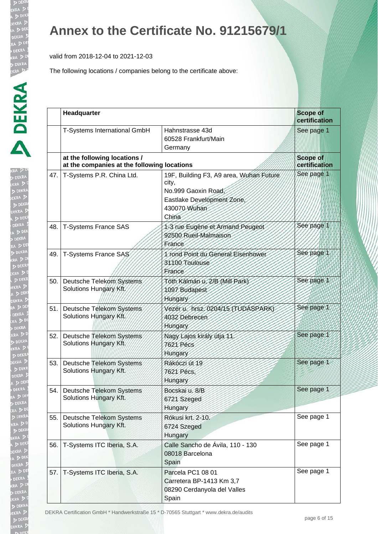valid from 2018-12-04 to 2021-12-03

| 3 |
|---|
| Ì |
|   |
|   |
|   |
|   |
|   |
|   |
| i |
|   |
|   |
|   |
|   |
|   |
|   |
|   |
|   |
|   |
|   |
| ł |
|   |
|   |
|   |
|   |
|   |
| j |
|   |
|   |
|   |
|   |
|   |
|   |
|   |
|   |
|   |
|   |
|   |
|   |
|   |
|   |
|   |
|   |
|   |
|   |
|   |
|   |
|   |
|   |
|   |
|   |
|   |
|   |
|   |
|   |
|   |

|     | Headquarter                                                                 |                                                                                                                                | <b>Scope of</b><br>certification |
|-----|-----------------------------------------------------------------------------|--------------------------------------------------------------------------------------------------------------------------------|----------------------------------|
|     | T-Systems International GmbH                                                | Hahnstrasse 43d<br>60528 Frankfurt/Main<br>Germany                                                                             | See page 1                       |
|     | at the following locations /<br>at the companies at the following locations |                                                                                                                                | <b>Scope of</b><br>certification |
| 47. | T-Systems P.R. China Ltd.                                                   | 19F, Building F3, A9 area, Wuhan Future<br>city,<br>No.999 Gaoxin Road,<br>Eastlake Development Zone,<br>430070 Wuhan<br>China | See page 1                       |
| 48. | <b>T-Systems France SAS</b>                                                 | 1-3 rue Eugène et Armand Peugeot<br>92500 Rueil-Malmaison<br>France                                                            | Sée page 1                       |
| 49. | T-Systems France SAS                                                        | 1 rond Point du General Eisenhower<br>31100 Toulouse<br>France                                                                 | See page 1                       |
| 50. | Deutsche Telekom Systems<br>Solutions Hungary Kft.                          | Tóth Kálmán v. 2/B (Mill Park)<br>1097 Budapest<br>Hungary                                                                     | See page 1                       |
| 51. | Deutsche Telekom Systems<br>Solutions Hungary Kft.                          | Vezér v. hrsz. 0204/15 (TUDASPARK)<br>4032 Debrecen<br>Hungary                                                                 | See page 1                       |
| 52. | Deutsche Telekom Systems<br>Solutions Hungary Kft.                          | Nagy Lajos király útja 11.<br><b>7621 Pécs</b><br>Hungary                                                                      | See page 1                       |
| 53. | Deutsche Telekom Systems<br>Solutions Hungary Kft.                          | Rákóczi út 19<br>7621 Pécs.<br>Hungary                                                                                         | See page 1                       |
| 54. | Deutsche Telekom Systems<br>Solutions Hungary Kft.                          | Bocskai u. 8/B<br>6721 Szeged<br>Hungary                                                                                       | See page 1                       |
| 55. | Deutsche Telekom Systems<br>Solutions Hungary Kft.                          | Rókusi krt. 2-10.<br>6724 Szeged<br>Hungary                                                                                    | See page 1                       |
| 56. | T-Systems ITC Iberia, S.A.                                                  | Calle Sancho de Ávila, 110 - 130<br>08018 Barcelona<br>Spain                                                                   | See page 1                       |
| 57. | T-Systems ITC Iberia, S.A.                                                  | Parcela PC1 08 01<br>Carretera BP-1413 Km 3,7<br>08290 Cerdanyola del Valles<br>Spain                                          | See page 1                       |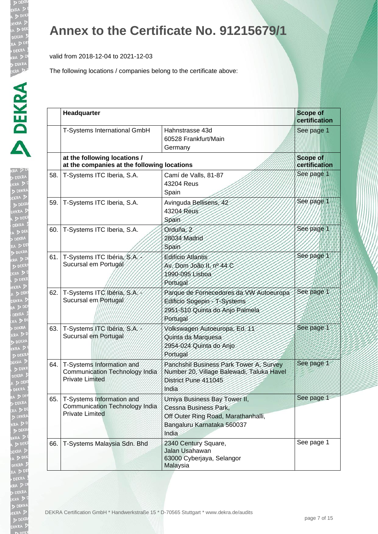valid from 2018-12-04 to 2021-12-03

|     | Headquarter                                                                           |                                                                                                                                     | <b>Scope of</b><br>certification |
|-----|---------------------------------------------------------------------------------------|-------------------------------------------------------------------------------------------------------------------------------------|----------------------------------|
|     | <b>T-Systems International GmbH</b>                                                   | Hahnstrasse 43d<br>60528 Frankfurt/Main<br>Germany                                                                                  | See page 1                       |
|     | at the following locations /<br>at the companies at the following locations           |                                                                                                                                     | <b>Scope of</b><br>certification |
| 58. | T-Systems ITC Iberia, S.A.                                                            | Camí de Valls, 81-87<br>43204 Reus<br>Spain                                                                                         | See page 1                       |
| 59. | T-Systems ITC Iberia, S.A.                                                            | Avinguda Bellisens, 42<br>43204 Reus<br>Spain                                                                                       | See page 1                       |
| 60. | T-Systems ITC Iberia, S.A.                                                            | Orduña, 2<br>28034 Madrid<br>Spain                                                                                                  | See page 1                       |
| 61. | T-Systems ITC Ibéria, S.A.<br>Sucursal em Portugal                                    | <b>Edificio Atlantis</b><br>Av. Dom João II, nº 44 C<br>1990-095 Lisboa<br>Portugal                                                 | See page 1                       |
| 62. | T-Systems ITC/lbéria, S.A.<br>Sucursal em/Portugal                                    | Parque de Fornecedores da VW Autoeuropa<br>Editicio Sogepin-T-Systems<br>2951-510 Quinta do Anjo Palmela<br>Portugal                | See page 1                       |
| 63. | T-Systems ITC Ibéria, S.A.<br>Sucursal em Portugal                                    | Volkswagen Autoeuropa, Ed. 11<br>Quinta da Marquesa<br>2954-024 Quinta do Anjo<br>Portugal                                          | See page 1                       |
| 64. | T-Systems Information and<br>Communication Technology India<br><b>Private Limited</b> | Panchshil Business Park Tower A, Survey<br>Number 20, Village Balewadi, Taluka Havel<br>District Pune 411045<br>India               | See page 1                       |
| 65. | T-Systems Information and<br>Communication Technology India<br><b>Private Limited</b> | Umiya Business Bay Tower II,<br>Cessna Business Park,<br>Off Outer Ring Road, Marathanhalli,<br>Bangaluru Karnataka 560037<br>India | See page 1                       |
| 66. | T-Systems Malaysia Sdn. Bhd                                                           | 2340 Century Square,<br>Jalan Usahawan<br>63000 Cyberjaya, Selangor<br>Malaysia                                                     | See page 1                       |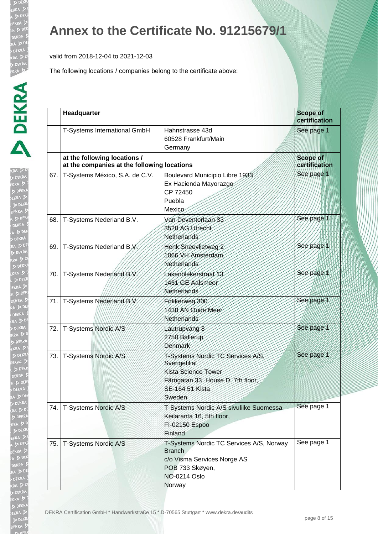valid from 2018-12-04 to 2021-12-03

| Ì<br>g |
|--------|
|        |
|        |
|        |
|        |
|        |
|        |
| i      |
|        |
|        |
|        |
|        |
|        |
|        |
|        |
|        |
|        |
|        |
| 3      |
|        |
|        |
|        |
|        |
|        |
| B      |
|        |
|        |
|        |
|        |
|        |
|        |
|        |
|        |
| l      |
|        |
|        |
|        |
|        |
|        |
|        |
|        |
|        |
|        |
|        |
|        |
|        |
|        |
|        |
|        |
|        |
|        |
|        |
|        |
|        |
|        |

|     | Headquarter                                                                 |                                                                                                                                              | <b>Scope of</b><br>certification |
|-----|-----------------------------------------------------------------------------|----------------------------------------------------------------------------------------------------------------------------------------------|----------------------------------|
|     | T-Systems International GmbH                                                | Hahnstrasse 43d<br>60528 Frankfurt/Main<br>Germany                                                                                           | See page 1                       |
|     | at the following locations /<br>at the companies at the following locations |                                                                                                                                              | <b>Scope of</b><br>certification |
| 67. | T-Systems México, S.A. de C.V.                                              | Boulevard Municipio Libre 1933<br>Ex Hacienda Mayorazgo<br>CP 72450<br>Puebla<br>Mexico                                                      | See page 1                       |
| 68. | T-Systems Nederland B.V.                                                    | Van Deventerlaan 33<br>3528 AG Utrecht<br>Netherlands                                                                                        | See page 1                       |
| 69. | T-Systems Nederland B.V.                                                    | Henk Sneevlietweg 2<br>1066 VH Amsterdam.<br>Netherlands                                                                                     | See page 1                       |
| 70. | T-Systems Nederland B.V                                                     | Lakenblekerstraat 13<br>1431 GE Aalsmeer<br>Netherlands                                                                                      | See page 1                       |
| 71. | T-Systems Nederland B.V.                                                    | Fokkerweg 300<br>1438 AN Oude Meer<br><b>Netherlands</b>                                                                                     | See page 1                       |
| 72. | T-Systems Nordic A/S                                                        | Lautrupvang 8<br>2750 Ballerup<br>Denmark                                                                                                    | See page 1                       |
| 73. | T-Systems Nordic A/S                                                        | T-Systems Nordic TC Services A/S,<br>Sverigefilial<br>Kista Science Tower<br>Färögatan 33, House D, 7th floor,<br>SE-164 51 Kista<br>Sweden  | See page 1                       |
| 74. | T-Systems Nordic A/S                                                        | T-Systems Nordic A/S sivuliike Suomessa<br>Keilaranta 16, 5th floor,<br>FI-02150 Espoo<br>Finland                                            | See page 1                       |
| 75. | T-Systems Nordic A/S                                                        | T-Systems Nordic TC Services A/S, Norway<br><b>Branch</b><br>c/o Visma Services Norge AS<br>POB 733 Skøyen,<br><b>NO-0214 Oslo</b><br>Norway | See page 1                       |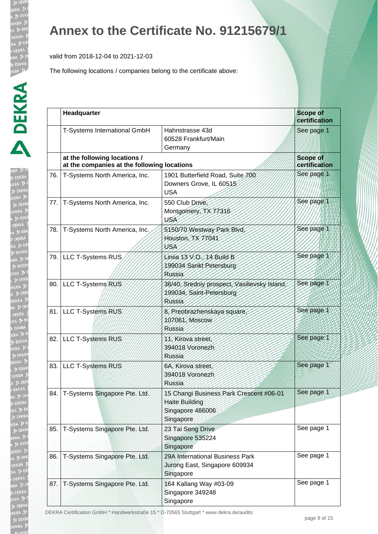valid from 2018-12-04 to 2021-12-03

The following locations / companies belong to the certificate above:

| Î                    |
|----------------------|
|                      |
| $\ddot{\phantom{a}}$ |
|                      |
|                      |
|                      |
|                      |
|                      |
|                      |
|                      |
|                      |
|                      |
|                      |
|                      |
|                      |
|                      |
|                      |
| ł                    |
|                      |
|                      |
|                      |
|                      |
|                      |
|                      |
|                      |
|                      |
|                      |
|                      |
|                      |
|                      |
|                      |
|                      |
|                      |
|                      |
|                      |
|                      |
|                      |
| 1<br>J               |
|                      |
| j<br>ļ               |
|                      |
|                      |
|                      |
| ļ                    |
| l                    |
|                      |
|                      |
|                      |
|                      |
|                      |
| ļ                    |
| j<br>I               |
|                      |

|      | Headquarter                                                                 |                                                                                                   | <b>Scope of</b><br>certification |
|------|-----------------------------------------------------------------------------|---------------------------------------------------------------------------------------------------|----------------------------------|
|      | T-Systems International GmbH                                                | Hahnstrasse 43d<br>60528 Frankfurt/Main<br>Germany                                                | See page 1                       |
|      | at the following locations /<br>at the companies at the following locations |                                                                                                   | <b>Scope of</b><br>certification |
| 76.  | T-Systems North America, Inc.                                               | 1901 Butterfield Road, Suite 700<br>Downers Grove, IL 60515<br><b>USA</b>                         | See page 1                       |
| 77.  | T-Systems North America, Inc.                                               | 550 Club Drive.<br>Montgomery, TX 77316<br>USA                                                    | See page 1                       |
| 78.  | T-Systems North America, Inc.                                               | 5150/70 Westway Park Blvd,<br>Houston, TX 17041<br>USA                                            | See page 1                       |
|      | 79. LLC T-Systems RUS                                                       | Linija 13 V.O., 14 Build B<br>199034 Sankt Petersburg<br>Russia                                   | See page 1                       |
|      | 80.   LLC T-Systems RUS                                                     | 36/40, Sredniy prospect, Vasilievsky Island,<br>199034, Saint-Petersburg<br>Russia                | See page 1                       |
|      | 81. LLC T-Systems RUS                                                       | 8, Preobrazhenskaya square<br>107061, Moscow<br><b>Russia</b>                                     | See page 1                       |
| 82.  | LLC T-Systems RUS                                                           | 11. Kirova street,<br>394018 Voronezh<br>Russia                                                   | See page 1                       |
| 83.1 | <b>LLC T-Systems RUS</b>                                                    | 6A, Kirova street,<br>394018 Voronezh<br>Russia                                                   | See page 1                       |
| 84.  | T-Systems Singapore Pte. Ltd.                                               | 15 Changi Business Park Crescent #06-01<br><b>Haite Building</b><br>Singapore 486006<br>Singapore | See page 1                       |
| 85.  | T-Systems Singapore Pte. Ltd.                                               | 23 Tai Seng Drive<br>Singapore 535224<br>Singapore                                                | See page 1                       |
| 86.  | T-Systems Singapore Pte. Ltd.                                               | 29A International Business Park<br>Jurong East, Singapore 609934<br>Singapore                     | See page 1                       |
| 87.  | T-Systems Singapore Pte. Ltd.                                               | 164 Kallang Way #03-09<br>Singapore 349248                                                        | See page 1                       |

DEKRA Certification GmbH \* Handwerkstraße 15 \* D-70565 Stuttgart \* www.dekra.de/audits

Singapore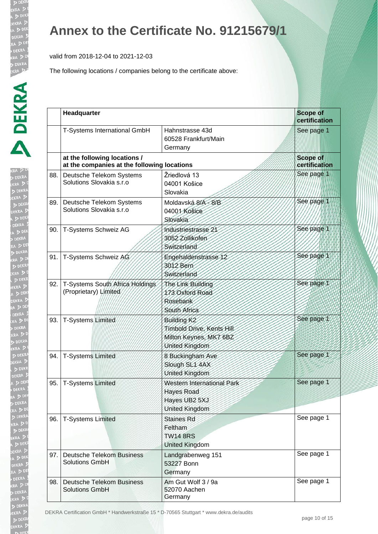valid from 2018-12-04 to 2021-12-03

The following locations / companies belong to the certificate above:

| D                                                                             |
|-------------------------------------------------------------------------------|
|                                                                               |
|                                                                               |
|                                                                               |
|                                                                               |
|                                                                               |
|                                                                               |
|                                                                               |
|                                                                               |
|                                                                               |
|                                                                               |
|                                                                               |
|                                                                               |
|                                                                               |
|                                                                               |
|                                                                               |
|                                                                               |
|                                                                               |
|                                                                               |
|                                                                               |
|                                                                               |
|                                                                               |
|                                                                               |
|                                                                               |
|                                                                               |
|                                                                               |
|                                                                               |
|                                                                               |
| ļ                                                                             |
| The age of the contract of                                                    |
|                                                                               |
|                                                                               |
|                                                                               |
|                                                                               |
|                                                                               |
|                                                                               |
|                                                                               |
| <b>The Second State of the Second State of the Second State of the Second</b> |
|                                                                               |
|                                                                               |
|                                                                               |
|                                                                               |
|                                                                               |

|     | Headquarter                                                                 |                                                                                                  | <b>Scope of</b><br>certification |
|-----|-----------------------------------------------------------------------------|--------------------------------------------------------------------------------------------------|----------------------------------|
|     | T-Systems International GmbH                                                | Hahnstrasse 43d<br>60528 Frankfurt/Main<br>Germany                                               | See page 1                       |
|     | at the following locations /<br>at the companies at the following locations |                                                                                                  | <b>Scope of</b><br>certification |
| 88. | Deutsche Telekom Systems<br>Solutions Slovakia s.r.o                        | Žriedlová 13<br>04001 Košice<br>Slovakia                                                         | See page 1                       |
| 89. | Deutsche Telekom Systems<br>Solutions Slovakia s.r.o                        | Moldavská 8/A - 8/B<br>04001 Košice<br>Slovakia                                                  | See page                         |
| 90. | T-Systems Schweiz AG                                                        | Industriestrasse 21<br>3052 Zollikofen<br>Switzerland                                            | See page 1                       |
| 91. | T-Systems Schweiz AG                                                        | Engehaldenstrasse 12<br>3012 Bern<br>Switzerland                                                 | See page 1                       |
| 92. | T-Systems South Africa Holdings<br>(Proprietary) Limited                    | The Link Building<br>173 Oxford Road<br>Rosebank<br>South Africa                                 | See page 1                       |
| 93. | T-Systems Limited                                                           | Building K <sub>2</sub><br>Timbold Drive, Kents Hill<br>Milton Keynes, MK7 6BZ<br>United Kingdom | See page 1                       |
| 94. | <b>T-Systems Limited</b>                                                    | 8 Buckingham Ave<br>Slough SL1 4AX<br>United Kingdom                                             | See page 1                       |
| 95. | <b>T-Systems Limited</b>                                                    | Western International Park<br><b>Hayes Road</b><br>Hayes UB2 5XJ<br>United Kingdom               | See page 1                       |
| 96. | <b>T-Systems Limited</b>                                                    | <b>Staines Rd</b><br>Feltham<br><b>TW14 8RS</b><br><b>United Kingdom</b>                         | See page 1                       |
| 97. | <b>Deutsche Telekom Business</b><br><b>Solutions GmbH</b>                   | Landgrabenweg 151<br>53227 Bonn<br>Germany                                                       | See page 1                       |
| 98. | <b>Deutsche Telekom Business</b><br><b>Solutions GmbH</b>                   | Am Gut Wolf 3 / 9a<br>52070 Aachen<br>Germany                                                    | See page 1                       |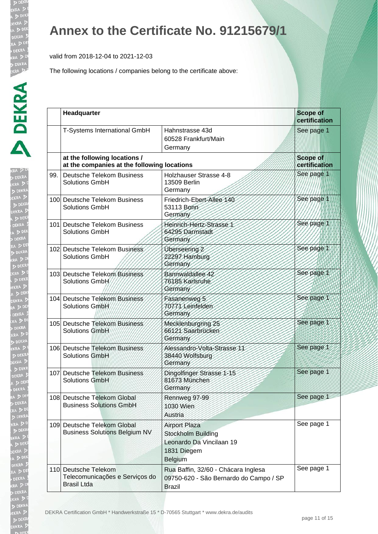valid from 2018-12-04 to 2021-12-03

| KRA DEKRA DEKRA DEKRA DEKRA DEKRA DEKRA DEKRA DEKRA DEKRA DEKRA DEKRA DEKRA DEKRA DEKRA DEKRA DEKRA DEKRA DEKRA DEKRA DEKRA DEKRA DEKRA DEKRA DEKRA DEKRA DEKRA DEKRA DEKRA DEKRA DEKRA DEKRA DEKRA DEKRA DEKRA DEKRA DEKRA DE<br>$\begin{array}{c} \hline \text{D} \end{array}$ |  |
|----------------------------------------------------------------------------------------------------------------------------------------------------------------------------------------------------------------------------------------------------------------------------------|--|
|                                                                                                                                                                                                                                                                                  |  |
|                                                                                                                                                                                                                                                                                  |  |
|                                                                                                                                                                                                                                                                                  |  |
|                                                                                                                                                                                                                                                                                  |  |
|                                                                                                                                                                                                                                                                                  |  |
|                                                                                                                                                                                                                                                                                  |  |
|                                                                                                                                                                                                                                                                                  |  |
|                                                                                                                                                                                                                                                                                  |  |
|                                                                                                                                                                                                                                                                                  |  |
|                                                                                                                                                                                                                                                                                  |  |
|                                                                                                                                                                                                                                                                                  |  |
| $\ddot{\phantom{a}}$                                                                                                                                                                                                                                                             |  |
|                                                                                                                                                                                                                                                                                  |  |
|                                                                                                                                                                                                                                                                                  |  |
|                                                                                                                                                                                                                                                                                  |  |
|                                                                                                                                                                                                                                                                                  |  |
| ļ                                                                                                                                                                                                                                                                                |  |
|                                                                                                                                                                                                                                                                                  |  |
|                                                                                                                                                                                                                                                                                  |  |
|                                                                                                                                                                                                                                                                                  |  |
| $\ddot{}}$                                                                                                                                                                                                                                                                       |  |
|                                                                                                                                                                                                                                                                                  |  |
|                                                                                                                                                                                                                                                                                  |  |
|                                                                                                                                                                                                                                                                                  |  |
|                                                                                                                                                                                                                                                                                  |  |
|                                                                                                                                                                                                                                                                                  |  |
| ľ                                                                                                                                                                                                                                                                                |  |
|                                                                                                                                                                                                                                                                                  |  |
|                                                                                                                                                                                                                                                                                  |  |
|                                                                                                                                                                                                                                                                                  |  |
|                                                                                                                                                                                                                                                                                  |  |
| l                                                                                                                                                                                                                                                                                |  |
|                                                                                                                                                                                                                                                                                  |  |
| j                                                                                                                                                                                                                                                                                |  |
|                                                                                                                                                                                                                                                                                  |  |
|                                                                                                                                                                                                                                                                                  |  |
|                                                                                                                                                                                                                                                                                  |  |
|                                                                                                                                                                                                                                                                                  |  |

|     | Headquarter                                                                  |                                                                                                  | <b>Scope of</b><br>certification |  |
|-----|------------------------------------------------------------------------------|--------------------------------------------------------------------------------------------------|----------------------------------|--|
|     | T-Systems International GmbH                                                 | Hahnstrasse 43d<br>60528 Frankfurt/Main<br>Germany                                               | See page 1                       |  |
|     | at the following locations /<br>at the companies at the following locations  |                                                                                                  | <b>Scope of</b><br>certification |  |
| 99. | <b>Deutsche Telekom Business</b><br><b>Solutions GmbH</b>                    | Holzhauser Strasse 4-8<br>13509 Berlin<br>Germany                                                | See page 1                       |  |
|     | 100 Deutsche Telekom Business<br><b>Solutions GmbH</b>                       | Friedrich-Ebert-Allee 140<br>53113 Bonn<br>Germany                                               | See page 1                       |  |
|     | 101 Deutsche Telekom Business<br><b>Solutions GmbH</b>                       | Heinrich-Hertz-Strasse 1<br>64295 Darmstadt<br>Germany                                           | See page 1                       |  |
|     | 102 Deutsche Telekom Business<br><b>Solutions GmbH</b>                       | Überseering 2<br>22297 Hamburg<br>Germany                                                        | See page 1                       |  |
|     | 103 Deutsche Telekom Business<br>Solutions GmbH                              | Bannwaldallee 42<br>76185 Karlsruhe<br>Germany                                                   | See page 1                       |  |
|     | 104 Deutsche Telekom Business<br>Solutions GmbH                              | Fasanenweg 5<br>70771 Leinfelden<br>Germany                                                      | See page 1                       |  |
|     | 105 Deutsche Telekom Business<br>Solutions GmbH                              | Mecklenburgring 25<br>66121 Saarbrücken<br>Germany                                               | See page 1                       |  |
|     | 106 Deutsche Telekom Business<br><b>Solutions GmbH</b>                       | Alessandro-Volta-Strasse 11<br>38440 Wolfsburg<br>Germany                                        | See page 1                       |  |
|     | 107 Deutsche Telekom Business<br><b>Solutions GmbH</b>                       | Dingolfinger Strasse 1-15<br>81673 München<br>Germany                                            | See page 1                       |  |
|     | 108 Deutsche Telekom Global<br><b>Business Solutions GmbH</b>                | Rennweg 97-99<br>1030 Wien<br>Austria                                                            | See page 1                       |  |
|     | 109 Deutsche Telekom Global<br><b>Business Solutions Belgium NV</b>          | <b>Airport Plaza</b><br>Stockholm Building<br>Leonardo Da Vincilaan 19<br>1831 Diegem<br>Belgium | See page 1                       |  |
|     | 110 Deutsche Telekom<br>Telecomunicações e Serviços do<br><b>Brasil Ltda</b> | Rua Baffin, 32/60 - Chácara Inglesa<br>09750-620 - São Bernardo do Campo / SP<br><b>Brazil</b>   | See page 1                       |  |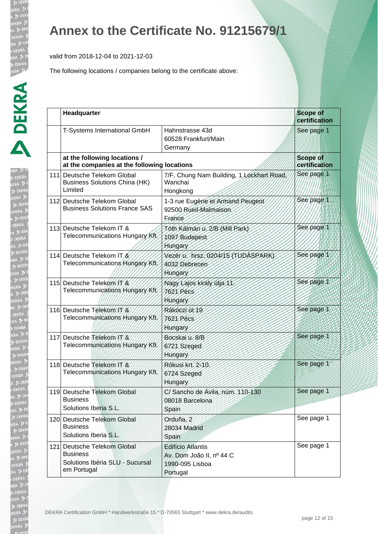valid from 2018-12-04 to 2021-12-03

| I.                      |
|-------------------------|
|                         |
|                         |
|                         |
|                         |
|                         |
|                         |
| i                       |
| i                       |
|                         |
|                         |
|                         |
|                         |
|                         |
|                         |
|                         |
| $\overline{\mathbf{z}}$ |
|                         |
|                         |
|                         |
| اء<br>ا                 |
| B                       |
|                         |
|                         |
|                         |
|                         |
|                         |
| Į                       |
|                         |
|                         |
| J<br>J                  |
| ļ                       |
|                         |
|                         |
|                         |
|                         |
|                         |
|                         |
|                         |
|                         |
|                         |
|                         |
|                         |
|                         |
|                         |
|                         |
|                         |
|                         |

|      | Headquarter                                                                                      |                                                                                     | <b>Scope of</b><br>certification |
|------|--------------------------------------------------------------------------------------------------|-------------------------------------------------------------------------------------|----------------------------------|
|      | T-Systems International GmbH                                                                     | Hahnstrasse 43d<br>60528 Frankfurt/Main<br>Germany                                  | See page 1                       |
|      | at the following locations /<br>at the companies at the following locations                      |                                                                                     | <b>Scope of</b><br>certification |
|      | 111 Deutsche Telekom Global<br><b>Business Solutions China (HK)</b><br>Limited                   | 7/F, Chung Nam Building, 1 Lockhart Road,<br>Wanchai<br>Hongkong                    | See page 1                       |
|      | 112 Deutsche Telekom Global<br><b>Business Solutions France SAS</b>                              | 1-3 rue Eugène et Armand Peugeot<br>92500 Rueil-Malmaison<br>Erance                 | See page 1                       |
|      | 113 Deutsche Telekom IT &<br>Telecommunications Hungary Kft.                                     | Tóth Kálmán u. 2/B (Mill Park)<br>1097 Budapest<br>Hungary                          | See page 1                       |
|      | 114 Deutsche Telekom IT &<br>Telecommunications Hungary Kft,                                     | Vezer u. hrsz. 0204/15 (TUDASPARK)<br>4032 Debrecen<br>Hungary                      | See page 1                       |
|      | 115 Deutsche Telekom / 1/8<br>Telecommunications Hungary Kft.                                    | Nagy Lajos király útja 11<br><b>7621 Pecs</b><br>Hungary                            | See page 1                       |
|      | 116 Deutsche Telekom / //<br>Telecommunications Hungary Kft.                                     | Rákóczi út 19<br>7621 Pécs<br>Hungary                                               | See page 1                       |
| 117. | Deutsche Telekom IT &<br>Telecommunications Hungary Kft.                                         | Bocskaru. 8/B<br>6721 Szeged<br>Hungary                                             | See page 1                       |
|      | 118 Deutsche Telekom IT &<br>Telecommunications Hungary Kft.                                     | Rókusi krt. 2-10.<br>6724 Szeged<br>Hungary                                         | See page 1                       |
|      | 119 Deutsche Telekom Global<br><b>Business</b><br>Solutions Iberia S.L.                          | C/ Sancho de Ávila, núm. 110-130<br>08018 Barcelona<br>Spain                        | See page 1                       |
|      | 120 Deutsche Telekom Global<br><b>Business</b><br>Solutions Iberia S.L.                          | Orduña, 2<br>28034 Madrid<br>Spain                                                  | See page 1                       |
|      | 121 Deutsche Telekom Global<br><b>Business</b><br>Solutions Ibéria SLU - Sucursal<br>em Portugal | <b>Edifício Atlantis</b><br>Av. Dom João II, nº 44 C<br>1990-095 Lisboa<br>Portugal | See page 1                       |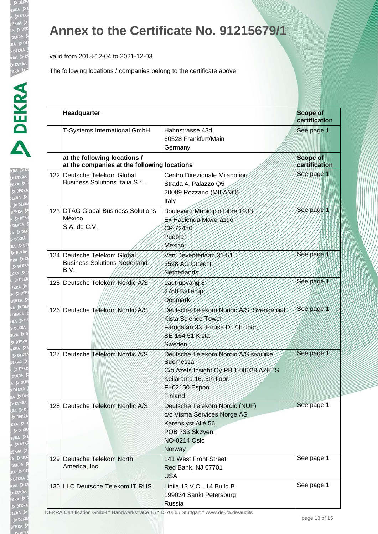valid from 2018-12-04 to 2021-12-03

The following locations / companies belong to the certificate above:

| I.<br>KRA .                                                                                |
|--------------------------------------------------------------------------------------------|
|                                                                                            |
| b<br>EK                                                                                    |
|                                                                                            |
|                                                                                            |
|                                                                                            |
|                                                                                            |
| $\ddot{\phantom{a}}$                                                                       |
| i                                                                                          |
| į                                                                                          |
|                                                                                            |
| B                                                                                          |
|                                                                                            |
| B                                                                                          |
|                                                                                            |
|                                                                                            |
| i                                                                                          |
|                                                                                            |
|                                                                                            |
|                                                                                            |
|                                                                                            |
|                                                                                            |
|                                                                                            |
|                                                                                            |
| > x x x x                                                                                  |
|                                                                                            |
|                                                                                            |
|                                                                                            |
| ŀ                                                                                          |
|                                                                                            |
| アクセス こうこう                                                                                  |
|                                                                                            |
|                                                                                            |
|                                                                                            |
|                                                                                            |
|                                                                                            |
|                                                                                            |
|                                                                                            |
| i                                                                                          |
| $\frac{1}{2}$<br>j                                                                         |
| l                                                                                          |
|                                                                                            |
| י<br>י                                                                                     |
| Í                                                                                          |
| i<br>I<br>I<br>I<br>I<br>I<br>I<br>I<br>I<br>I<br>I<br>I<br>I<br>I<br>I<br>I<br>I<br>I<br> |
|                                                                                            |
| l                                                                                          |
|                                                                                            |
|                                                                                            |
|                                                                                            |

| Headquarter                                                                                  |                                                                                                                                                      | <b>Scope of</b><br>certification |
|----------------------------------------------------------------------------------------------|------------------------------------------------------------------------------------------------------------------------------------------------------|----------------------------------|
| T-Systems International GmbH                                                                 | Hahnstrasse 43d<br>60528 Frankfurt/Main<br>Germany                                                                                                   | See page 1                       |
| at the following locations /<br>at the companies at the following locations                  |                                                                                                                                                      | <b>Scope of</b><br>certification |
| 122 Deutsche Telekom Global<br>Business Solutions Italia S.r.l.                              | Centro Direzionale Milanofiori:<br>Strada 4, Palazzo Q5<br>20089 Rozzano (MILANO)<br>Italy                                                           | See page 1                       |
| 123 DTAG Global Business Solutions<br>México<br>S.A. de C.V.                                 | Boulevard Municipio Libre 1933<br>Ex Hacienda Mayorazgo<br>CP 72450<br>Puebla<br>Mexico                                                              | See page 1                       |
| 124 Deutsche Telekom Global<br><b>Business Solutions Nederland</b><br>B.V.                   | Van Deventerlaan 31-51<br>3528 AG Utrecht<br>Netherlands                                                                                             | See page 1                       |
| 125 Deutsche Telekom Nordic A/S                                                              | Lautrupvang 8<br>2750 Ballerup<br>Denmark                                                                                                            | See page 1                       |
| 126 Deutsche Telekom Nordic A/S                                                              | Deutsche Telekom Nordic A/S, Sverigefilial<br>Kista Science Tower<br>Färögatan 33, House D, 7th floor,<br>SE-164 51 Kista<br>Sweden                  | See page 1                       |
| 127 Deutsche Telekom Nordic A/S                                                              | Deutsche Telekom Nordic A/S sivuliike<br>Suomessa<br>C/o Azets Insight Oy PB 1 00028 AZETS<br>Keilaranta 16, 5th floor,<br>FI-02150 Espoo<br>Finland | See page 1                       |
| 128 Deutsche Telekom Nordic A/S                                                              | Deutsche Telekom Nordic (NUF)<br>c/o Visma Services Norge AS<br>Karenslyst Allé 56,<br>POB 733 Skøyen,<br><b>NO-0214 Oslo</b><br>Norway              | See page 1                       |
| 129 Deutsche Telekom North<br>America, Inc.                                                  | 141 West Front Street<br>Red Bank, NJ 07701<br><b>USA</b>                                                                                            | See page 1                       |
| 130 LLC Deutsche Telekom IT RUS<br>$DEKDA$ Cortification CmbH * Handworkstraße 15 * D. 70565 | Liniia 13 V.O., 14 Build B<br>199034 Sankt Petersburg<br>Russia<br>Stuttgart * www.dokra.do/audite                                                   | See page 1                       |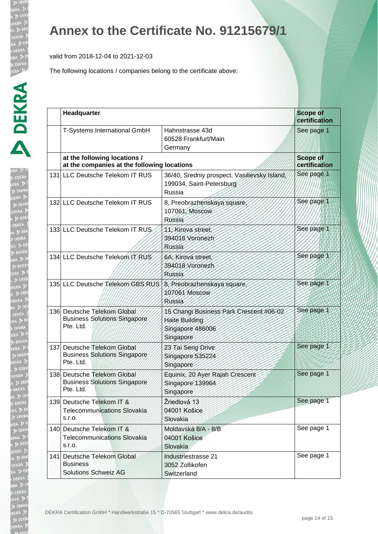valid from 2018-12-04 to 2021-12-03

| KRA D DEKRA D DEKRA D DEKRA D DEKRA D DEKRA D DEKRA D DEKRA D DEKRA D DEKRA D DEKRA D DEKRA D DEKRA D DEKRA D DEKRA D DEKRA D DEKRA D DEKRA D DEKRA D DEKRA D DEKRA D DEKRA D DEKRA D DEKRA D DEKRA D DEKRA D DEKRA D DEKRA D<br>$\begin{array}{c} \hline \text{A} \\ \text{B} \end{array}$ |
|---------------------------------------------------------------------------------------------------------------------------------------------------------------------------------------------------------------------------------------------------------------------------------------------|
|                                                                                                                                                                                                                                                                                             |
|                                                                                                                                                                                                                                                                                             |
|                                                                                                                                                                                                                                                                                             |
|                                                                                                                                                                                                                                                                                             |
|                                                                                                                                                                                                                                                                                             |
|                                                                                                                                                                                                                                                                                             |
|                                                                                                                                                                                                                                                                                             |
|                                                                                                                                                                                                                                                                                             |
|                                                                                                                                                                                                                                                                                             |
| $\frac{1}{2}$                                                                                                                                                                                                                                                                               |
|                                                                                                                                                                                                                                                                                             |
|                                                                                                                                                                                                                                                                                             |
|                                                                                                                                                                                                                                                                                             |
|                                                                                                                                                                                                                                                                                             |
| i<br> <br>                                                                                                                                                                                                                                                                                  |
|                                                                                                                                                                                                                                                                                             |
|                                                                                                                                                                                                                                                                                             |
|                                                                                                                                                                                                                                                                                             |
|                                                                                                                                                                                                                                                                                             |
|                                                                                                                                                                                                                                                                                             |
|                                                                                                                                                                                                                                                                                             |
|                                                                                                                                                                                                                                                                                             |
|                                                                                                                                                                                                                                                                                             |
| $\overline{\phantom{a}}$                                                                                                                                                                                                                                                                    |
|                                                                                                                                                                                                                                                                                             |
| i                                                                                                                                                                                                                                                                                           |
|                                                                                                                                                                                                                                                                                             |
|                                                                                                                                                                                                                                                                                             |
| A<br>> T<br>RA                                                                                                                                                                                                                                                                              |
|                                                                                                                                                                                                                                                                                             |
|                                                                                                                                                                                                                                                                                             |
|                                                                                                                                                                                                                                                                                             |
|                                                                                                                                                                                                                                                                                             |
|                                                                                                                                                                                                                                                                                             |
|                                                                                                                                                                                                                                                                                             |
|                                                                                                                                                                                                                                                                                             |
|                                                                                                                                                                                                                                                                                             |
|                                                                                                                                                                                                                                                                                             |
|                                                                                                                                                                                                                                                                                             |
|                                                                                                                                                                                                                                                                                             |
|                                                                                                                                                                                                                                                                                             |
|                                                                                                                                                                                                                                                                                             |
|                                                                                                                                                                                                                                                                                             |
|                                                                                                                                                                                                                                                                                             |
|                                                                                                                                                                                                                                                                                             |
|                                                                                                                                                                                                                                                                                             |
|                                                                                                                                                                                                                                                                                             |
|                                                                                                                                                                                                                                                                                             |

| Headquarter                                                                     |                                                                                            | <b>Scope of</b><br>certification |
|---------------------------------------------------------------------------------|--------------------------------------------------------------------------------------------|----------------------------------|
| T-Systems International GmbH                                                    | Hahnstrasse 43d<br>60528 Frankfurt/Main<br>Germany                                         | See page 1                       |
| at the following locations /<br>at the companies at the following locations     | <b>Scope of</b><br>certification                                                           |                                  |
| 131 LLC Deutsche Telekom IT RUS                                                 | 36/40, Sredniy prospect, Vasilievsky Island,<br>199034, Saint-Petersburg<br>Russia         | See page 1                       |
| 132 LLC Deutsche Telekom IT RUS                                                 | 8, Preobrazhenskaya square<br>107061, Moscow<br><b>Russia</b>                              | See page 1                       |
| 133 LLC Deutsche Telekom IT RUS                                                 | 11. Kirova street<br>394018 Voronezh<br><b>Russia</b>                                      | See page 1                       |
| 134 LLC Deutsche Telekom IT RUS                                                 | 6A. Kirova street<br>394018 Voronezh<br>Rússia                                             | See page 1                       |
| 135 LLC Deutsche Telekom GBS RUS / 8. Preobrazhenskaya square,                  | 107061 Moscow<br>Russia                                                                    | See page 1                       |
| 136 Deutsche Telekom Global<br><b>Business Solutions Singapore</b><br>Pte. Ltd. | 15 Changi Business Park Crescent #06-02<br>Haite Building<br>Singapore 486006<br>Singapore | See page 1                       |
| 137 Deutsche Telekom Global<br><b>Business Solutions Singapore</b><br>Pte. Ltd. | 23 Tai Seng Drive<br>Singapore 535224<br>Singapore                                         | See page 1                       |
| 138 Deutsche Telekom Global<br><b>Business Solutions Singapore</b><br>Pte. Ltd. | Equinix, 20 Ayer Rajah Crescent<br>Singapore 139964<br>Singapore                           | See page 1                       |
| 139 Deutsche Telekom IT &<br><b>Telecommunications Slovakia</b><br>S.r.o.       | Žriedlová 13<br>04001 Košice<br>Slovakia                                                   | See page 1                       |
| 140 Deutsche Telekom IT &<br><b>Telecommunications Slovakia</b><br>S.r.o.       | Moldavská 8/A - 8/B<br>04001 Košice<br>Slovakia                                            | See page 1                       |
| 141. Deutsche Telekom Global<br><b>Business</b><br><b>Solutions Schweiz AG</b>  | Industriestrasse 21<br>3052 Zollikofen<br>Switzerland                                      | See page 1                       |